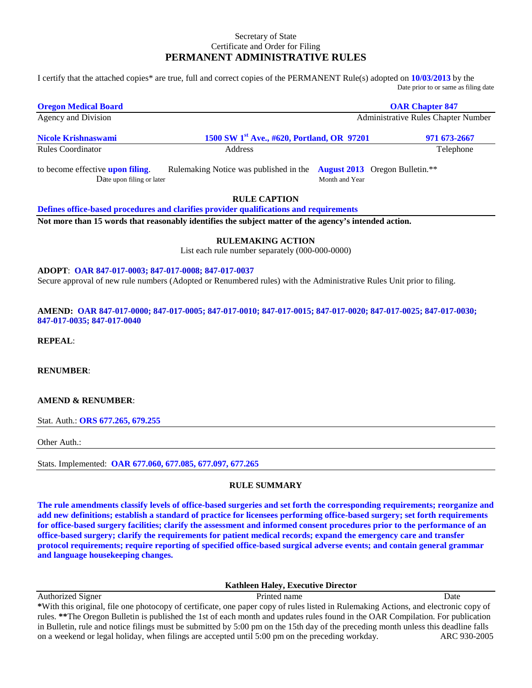#### Secretary of State Certificate and Order for Filing **PERMANENT ADMINISTRATIVE RULES**

I certify that the attached copies\* are true, full and correct copies of the PERMANENT Rule(s) adopted on **10/03/2013** by the Date prior to or same as filing date

| <b>Oregon Medical Board</b>                                                                         |                                                                                                                                                                                                                                       |                | <b>OAR Chapter 847</b>                |
|-----------------------------------------------------------------------------------------------------|---------------------------------------------------------------------------------------------------------------------------------------------------------------------------------------------------------------------------------------|----------------|---------------------------------------|
| Agency and Division                                                                                 |                                                                                                                                                                                                                                       |                | Administrative Rules Chapter Number   |
| Nicole Krishnaswami                                                                                 | 1500 SW 1 <sup>st</sup> Ave., #620, Portland, OR 97201                                                                                                                                                                                |                | 971 673-2667                          |
| <b>Rules Coordinator</b>                                                                            | Address                                                                                                                                                                                                                               |                | Telephone                             |
| to become effective upon filing.<br>Date upon filing or later                                       | Rulemaking Notice was published in the                                                                                                                                                                                                | Month and Year | <b>August 2013</b> Oregon Bulletin.** |
|                                                                                                     | <b>RULE CAPTION</b>                                                                                                                                                                                                                   |                |                                       |
|                                                                                                     | Defines office-based procedures and clarifies provider qualifications and requirements                                                                                                                                                |                |                                       |
|                                                                                                     | Not more than 15 words that reasonably identifies the subject matter of the agency's intended action.                                                                                                                                 |                |                                       |
|                                                                                                     | <b>RULEMAKING ACTION</b>                                                                                                                                                                                                              |                |                                       |
|                                                                                                     | List each rule number separately (000-000-0000)                                                                                                                                                                                       |                |                                       |
| ADOPT: OAR 847-017-0003; 847-017-0008; 847-017-0037<br>847-017-0035; 847-017-0040<br><b>REPEAL:</b> | Secure approval of new rule numbers (Adopted or Renumbered rules) with the Administrative Rules Unit prior to filing.<br>AMEND: OAR 847-017-0000; 847-017-0005; 847-017-0010; 847-017-0015; 847-017-0020; 847-017-0025; 847-017-0030; |                |                                       |
| <b>RENUMBER:</b>                                                                                    |                                                                                                                                                                                                                                       |                |                                       |
| <b>AMEND &amp; RENUMBER:</b>                                                                        |                                                                                                                                                                                                                                       |                |                                       |
| Stat. Auth.: ORS 677.265, 679.255                                                                   |                                                                                                                                                                                                                                       |                |                                       |
| Other Auth.:                                                                                        |                                                                                                                                                                                                                                       |                |                                       |
| Stats. Implemented: OAR 677.060, 677.085, 677.097, 677.265                                          |                                                                                                                                                                                                                                       |                |                                       |
|                                                                                                     | <b>RULE SUMMARY</b>                                                                                                                                                                                                                   |                |                                       |

**The rule amendments classify levels of office-based surgeries and set forth the corresponding requirements; reorganize and add new definitions; establish a standard of practice for licensees performing office-based surgery; set forth requirements for office-based surgery facilities; clarify the assessment and informed consent procedures prior to the performance of an office-based surgery; clarify the requirements for patient medical records; expand the emergency care and transfer protocol requirements; require reporting of specified office-based surgical adverse events; and contain general grammar and language housekeeping changes.** 

#### **Kathleen Haley, Executive Director**

Authorized Signer Date **Date** Printed name **Date** Date **Date \***With this original, file one photocopy of certificate, one paper copy of rules listed in Rulemaking Actions, and electronic copy of rules. **\*\***The Oregon Bulletin is published the 1st of each month and updates rules found in the OAR Compilation. For publication in Bulletin, rule and notice filings must be submitted by 5:00 pm on the 15th day of the preceding month unless this deadline falls on a weekend or legal holiday, when filings are accepted until 5:00 pm on the preceding workday. ARC 930-2005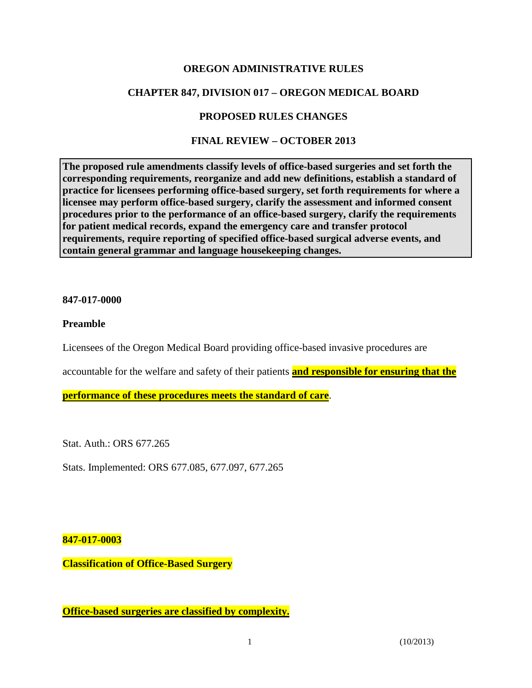### **OREGON ADMINISTRATIVE RULES**

# **CHAPTER 847, DIVISION 017 – OREGON MEDICAL BOARD**

# **PROPOSED RULES CHANGES**

# **FINAL REVIEW – OCTOBER 2013**

**The proposed rule amendments classify levels of office-based surgeries and set forth the corresponding requirements, reorganize and add new definitions, establish a standard of practice for licensees performing office-based surgery, set forth requirements for where a licensee may perform office-based surgery, clarify the assessment and informed consent procedures prior to the performance of an office-based surgery, clarify the requirements for patient medical records, expand the emergency care and transfer protocol requirements, require reporting of specified office-based surgical adverse events, and contain general grammar and language housekeeping changes.** 

### **847-017-0000**

### **Preamble**

Licensees of the Oregon Medical Board providing office-based invasive procedures are

accountable for the welfare and safety of their patients **and responsible for ensuring that the**

**performance of these procedures meets the standard of care**.

Stat. Auth.: ORS 677.265

Stats. Implemented: ORS 677.085, 677.097, 677.265

### **847-017-0003**

**Classification of Office-Based Surgery**

**Office-based surgeries are classified by complexity.**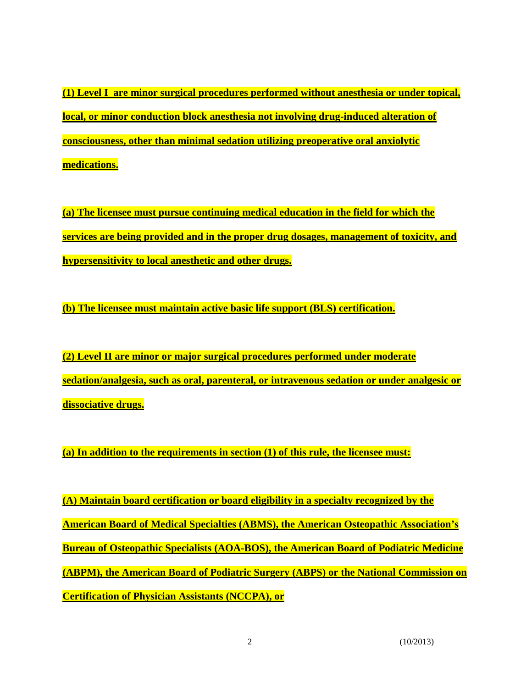**(1) Level I are minor surgical procedures performed without anesthesia or under topical, local, or minor conduction block anesthesia not involving drug-induced alteration of consciousness, other than minimal sedation utilizing preoperative oral anxiolytic medications.**

**(a) The licensee must pursue continuing medical education in the field for which the services are being provided and in the proper drug dosages, management of toxicity, and hypersensitivity to local anesthetic and other drugs.** 

**(b) The licensee must maintain active basic life support (BLS) certification.**

**(2) Level II are minor or major surgical procedures performed under moderate sedation/analgesia, such as oral, parenteral, or intravenous sedation or under analgesic or dissociative drugs.**

**(a) In addition to the requirements in section (1) of this rule, the licensee must:**

**(A) Maintain board certification or board eligibility in a specialty recognized by the American Board of Medical Specialties (ABMS), the American Osteopathic Association's Bureau of Osteopathic Specialists (AOA-BOS), the American Board of Podiatric Medicine (ABPM), the American Board of Podiatric Surgery (ABPS) or the National Commission on Certification of Physician Assistants (NCCPA), or**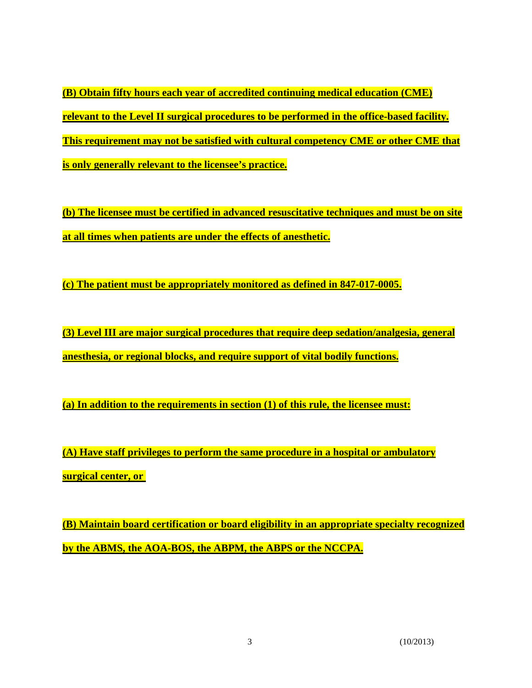**(B) Obtain fifty hours each year of accredited continuing medical education (CME) relevant to the Level II surgical procedures to be performed in the office-based facility. This requirement may not be satisfied with cultural competency CME or other CME that is only generally relevant to the licensee's practice.**

**(b) The licensee must be certified in advanced resuscitative techniques and must be on site at all times when patients are under the effects of anesthetic.**

**(c) The patient must be appropriately monitored as defined in 847-017-0005.**

**(3) Level III are major surgical procedures that require deep sedation/analgesia, general anesthesia, or regional blocks, and require support of vital bodily functions.**

**(a) In addition to the requirements in section (1) of this rule, the licensee must:** 

**(A) Have staff privileges to perform the same procedure in a hospital or ambulatory surgical center, or**

**(B) Maintain board certification or board eligibility in an appropriate specialty recognized by the ABMS, the AOA-BOS, the ABPM, the ABPS or the NCCPA.**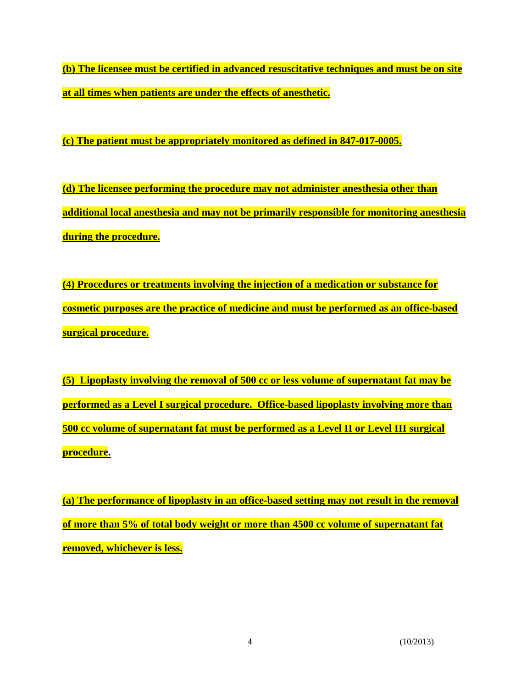**(b) The licensee must be certified in advanced resuscitative techniques and must be on site at all times when patients are under the effects of anesthetic.**

**(c) The patient must be appropriately monitored as defined in 847-017-0005.**

**(d) The licensee performing the procedure may not administer anesthesia other than additional local anesthesia and may not be primarily responsible for monitoring anesthesia during the procedure.**

**(4) Procedures or treatments involving the injection of a medication or substance for cosmetic purposes are the practice of medicine and must be performed as an office-based surgical procedure.**

**(5) Lipoplasty involving the removal of 500 cc or less volume of supernatant fat may be performed as a Level I surgical procedure. Office-based lipoplasty involving more than 500 cc volume of supernatant fat must be performed as a Level II or Level III surgical procedure.**

**(a) The performance of lipoplasty in an office-based setting may not result in the removal of more than 5% of total body weight or more than 4500 cc volume of supernatant fat removed, whichever is less.**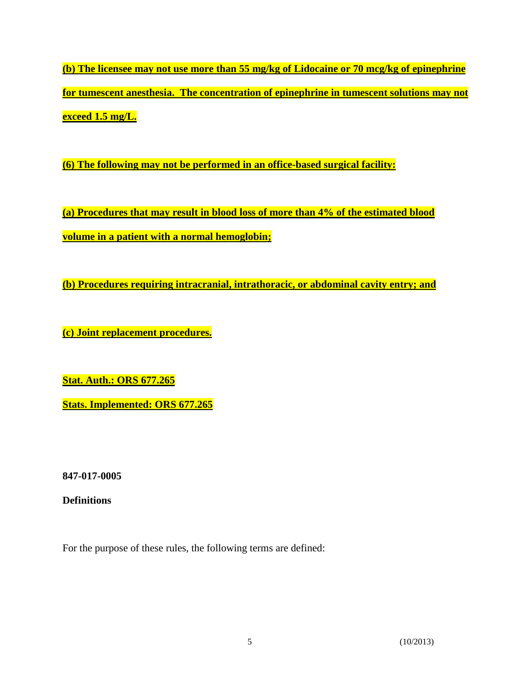**(b) The licensee may not use more than 55 mg/kg of Lidocaine or 70 mcg/kg of epinephrine for tumescent anesthesia. The concentration of epinephrine in tumescent solutions may not exceed 1.5 mg/L.**

**(6) The following may not be performed in an office-based surgical facility:**

**(a) Procedures that may result in blood loss of more than 4% of the estimated blood volume in a patient with a normal hemoglobin;** 

**(b) Procedures requiring intracranial, intrathoracic, or abdominal cavity entry; and**

**(c) Joint replacement procedures.**

**Stat. Auth.: ORS 677.265**

**Stats. Implemented: ORS 677.265**

**847-017-0005**

**Definitions**

For the purpose of these rules, the following terms are defined: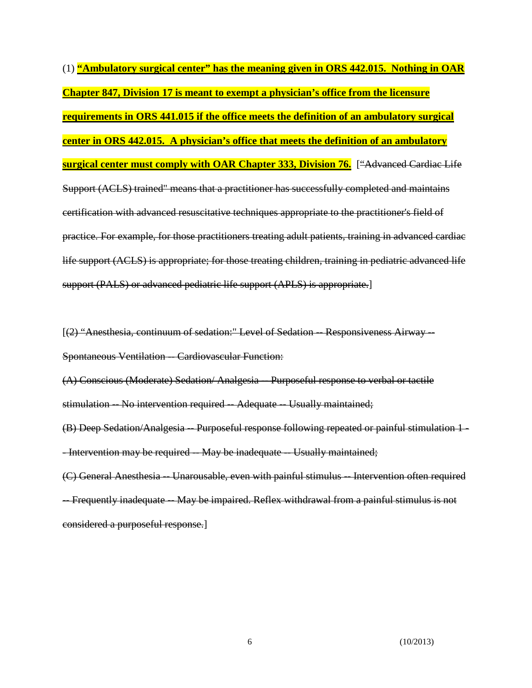(1) **"Ambulatory surgical center" has the meaning given in ORS 442.015. Nothing in OAR Chapter 847, Division 17 is meant to exempt a physician's office from the licensure requirements in ORS 441.015 if the office meets the definition of an ambulatory surgical center in ORS 442.015. A physician's office that meets the definition of an ambulatory surgical center must comply with OAR Chapter 333, Division 76.** ["Advanced Cardiac Life Support (ACLS) trained" means that a practitioner has successfully completed and maintains certification with advanced resuscitative techniques appropriate to the practitioner's field of practice. For example, for those practitioners treating adult patients, training in advanced cardiac life support (ACLS) is appropriate; for those treating children, training in pediatric advanced life support (PALS) or advanced pediatric life support (APLS) is appropriate.]

[(2) "Anesthesia, continuum of sedation:" Level of Sedation -- Responsiveness Airway --Spontaneous Ventilation -- Cardiovascular Function:

(A) Conscious (Moderate) Sedation/ Analgesia -- Purposeful response to verbal or tactile stimulation -- No intervention required -- Adequate -- Usually maintained;

(B) Deep Sedation/Analgesia -- Purposeful response following repeated or painful stimulation 1 - -Intervention may be required -- May be inadequate -- Usually maintained;

(C) General Anesthesia -- Unarousable, even with painful stimulus -- Intervention often required -- Frequently inadequate -- May be impaired. Reflex withdrawal from a painful stimulus is not considered a purposeful response.]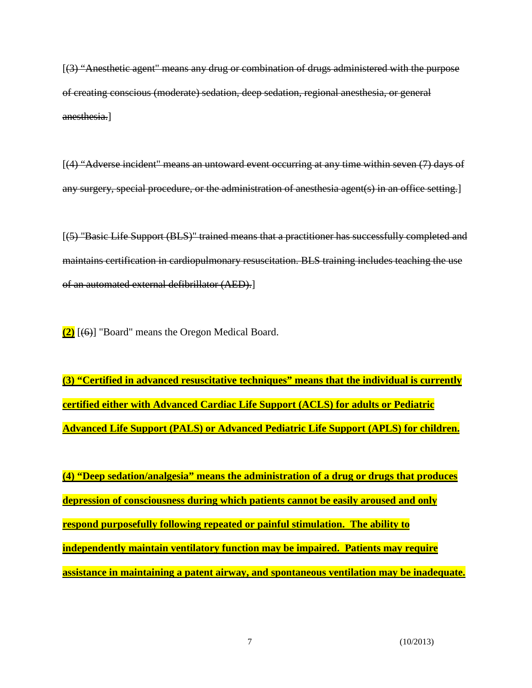[(3) "Anesthetic agent" means any drug or combination of drugs administered with the purpose of creating conscious (moderate) sedation, deep sedation, regional anesthesia, or general anesthesia.]

[(4) "Adverse incident" means an untoward event occurring at any time within seven (7) days of any surgery, special procedure, or the administration of anesthesia agent(s) in an office setting.]

[(5) "Basic Life Support (BLS)" trained means that a practitioner has successfully completed and maintains certification in cardiopulmonary resuscitation. BLS training includes teaching the use of an automated external defibrillator (AED).]

**(2)** [(6)] "Board" means the Oregon Medical Board.

**(3) "Certified in advanced resuscitative techniques" means that the individual is currently certified either with Advanced Cardiac Life Support (ACLS) for adults or Pediatric Advanced Life Support (PALS) or Advanced Pediatric Life Support (APLS) for children.**

**(4) "Deep sedation/analgesia" means the administration of a drug or drugs that produces depression of consciousness during which patients cannot be easily aroused and only respond purposefully following repeated or painful stimulation. The ability to independently maintain ventilatory function may be impaired. Patients may require assistance in maintaining a patent airway, and spontaneous ventilation may be inadequate.**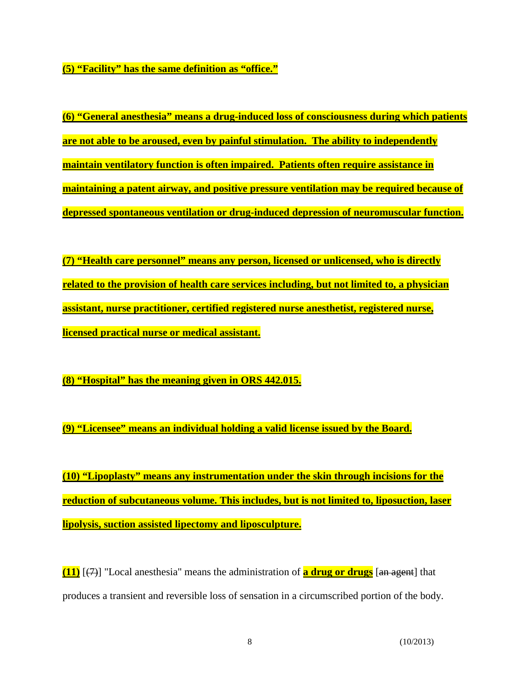**(5) "Facility" has the same definition as "office."**

**(6) "General anesthesia" means a drug-induced loss of consciousness during which patients are not able to be aroused, even by painful stimulation. The ability to independently maintain ventilatory function is often impaired. Patients often require assistance in maintaining a patent airway, and positive pressure ventilation may be required because of depressed spontaneous ventilation or drug-induced depression of neuromuscular function.** 

**(7) "Health care personnel" means any person, licensed or unlicensed, who is directly related to the provision of health care services including, but not limited to, a physician assistant, nurse practitioner, certified registered nurse anesthetist, registered nurse, licensed practical nurse or medical assistant.**

**(8) "Hospital" has the meaning given in ORS 442.015.**

**(9) "Licensee" means an individual holding a valid license issued by the Board.**

**(10) "Lipoplasty" means any instrumentation under the skin through incisions for the reduction of subcutaneous volume. This includes, but is not limited to, liposuction, laser lipolysis, suction assisted lipectomy and liposculpture.** 

**(11)** [(7)] "Local anesthesia" means the administration of **a drug or drugs** [an agent] that produces a transient and reversible loss of sensation in a circumscribed portion of the body.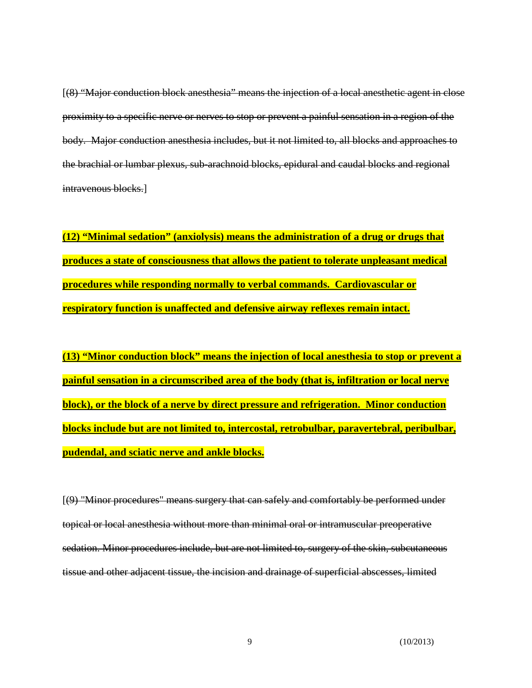[(8) "Major conduction block anesthesia" means the injection of a local anesthetic agent in close proximity to a specific nerve or nerves to stop or prevent a painful sensation in a region of the body. Major conduction anesthesia includes, but it not limited to, all blocks and approaches to the brachial or lumbar plexus, sub-arachnoid blocks, epidural and caudal blocks and regional intravenous blocks.

**(12) "Minimal sedation" (anxiolysis) means the administration of a drug or drugs that produces a state of consciousness that allows the patient to tolerate unpleasant medical procedures while responding normally to verbal commands. Cardiovascular or respiratory function is unaffected and defensive airway reflexes remain intact.**

**(13) "Minor conduction block" means the injection of local anesthesia to stop or prevent a painful sensation in a circumscribed area of the body (that is, infiltration or local nerve block), or the block of a nerve by direct pressure and refrigeration. Minor conduction blocks include but are not limited to, intercostal, retrobulbar, paravertebral, peribulbar, pudendal, and sciatic nerve and ankle blocks.**

[(9) "Minor procedures" means surgery that can safely and comfortably be performed under topical or local anesthesia without more than minimal oral or intramuscular preoperative sedation. Minor procedures include, but are not limited to, surgery of the skin, subcutaneous tissue and other adjacent tissue, the incision and drainage of superficial abscesses, limited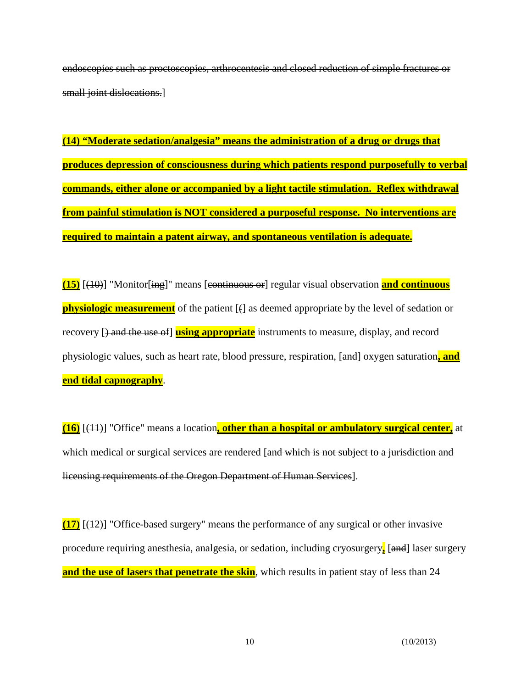endoscopies such as proctoscopies, arthrocentesis and closed reduction of simple fractures or small joint dislocations.]

**(14) "Moderate sedation/analgesia" means the administration of a drug or drugs that produces depression of consciousness during which patients respond purposefully to verbal commands, either alone or accompanied by a light tactile stimulation. Reflex withdrawal from painful stimulation is NOT considered a purposeful response. No interventions are required to maintain a patent airway, and spontaneous ventilation is adequate.** 

**(15)** [(10)] "Monitor[ing]" means [continuous or] regular visual observation **and continuous physiologic measurement** of the patient  $\lceil \frac{1}{2} \rceil$  as deemed appropriate by the level of sedation or recovery [) and the use of] **using appropriate** instruments to measure, display, and record physiologic values, such as heart rate, blood pressure, respiration, [and] oxygen saturation**, and end tidal capnography**.

**(16)** [(11)] "Office" means a location**, other than a hospital or ambulatory surgical center,** at which medical or surgical services are rendered [and which is not subject to a jurisdiction and licensing requirements of the Oregon Department of Human Services].

**(17)** [(12)] "Office-based surgery" means the performance of any surgical or other invasive procedure requiring anesthesia, analgesia, or sedation, including cryosurgery**,** [and] laser surgery **and the use of lasers that penetrate the skin**, which results in patient stay of less than 24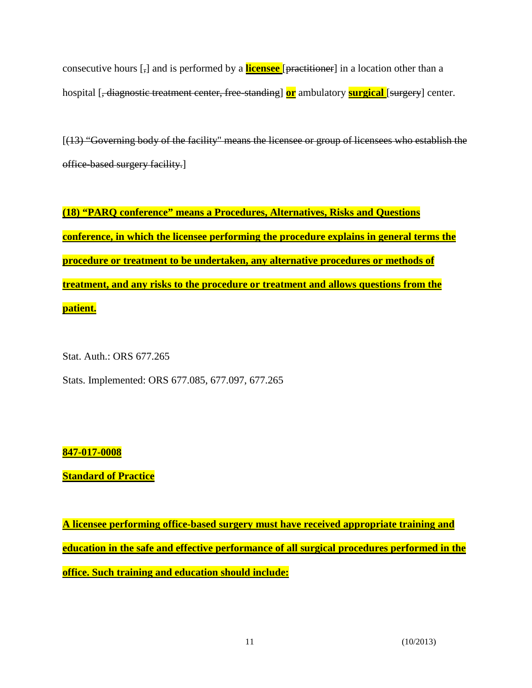consecutive hours [,] and is performed by a **licensee** [practitioner] in a location other than a hospital [, diagnostic treatment center, free-standing] **or** ambulatory **surgical** [surgery] center.

[(13) "Governing body of the facility" means the licensee or group of licensees who establish the office-based surgery facility.]

**(18) "PARQ conference" means a Procedures, Alternatives, Risks and Questions conference, in which the licensee performing the procedure explains in general terms the procedure or treatment to be undertaken, any alternative procedures or methods of treatment, and any risks to the procedure or treatment and allows questions from the patient.**

Stat. Auth.: ORS 677.265

Stats. Implemented: ORS 677.085, 677.097, 677.265

# **847-017-0008**

**Standard of Practice**

**A licensee performing office-based surgery must have received appropriate training and education in the safe and effective performance of all surgical procedures performed in the office. Such training and education should include:**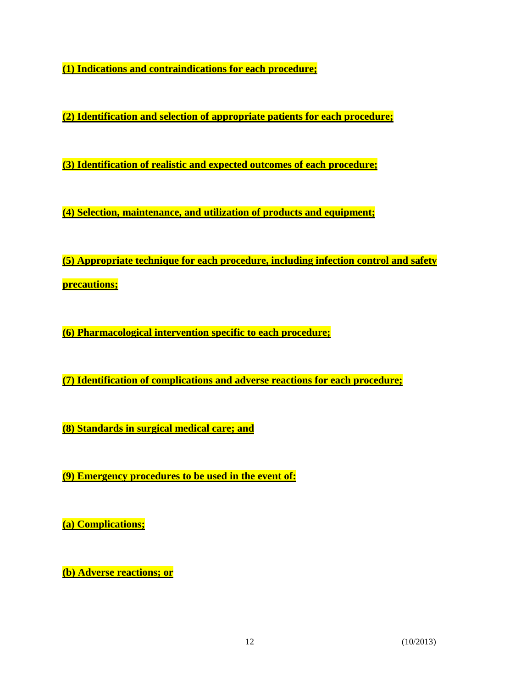**(1) Indications and contraindications for each procedure;** 

**(2) Identification and selection of appropriate patients for each procedure;**

**(3) Identification of realistic and expected outcomes of each procedure;** 

**(4) Selection, maintenance, and utilization of products and equipment;** 

**(5) Appropriate technique for each procedure, including infection control and safety precautions;** 

**(6) Pharmacological intervention specific to each procedure;** 

**(7) Identification of complications and adverse reactions for each procedure;**

**(8) Standards in surgical medical care; and**

**(9) Emergency procedures to be used in the event of:** 

**(a) Complications;** 

**(b) Adverse reactions; or**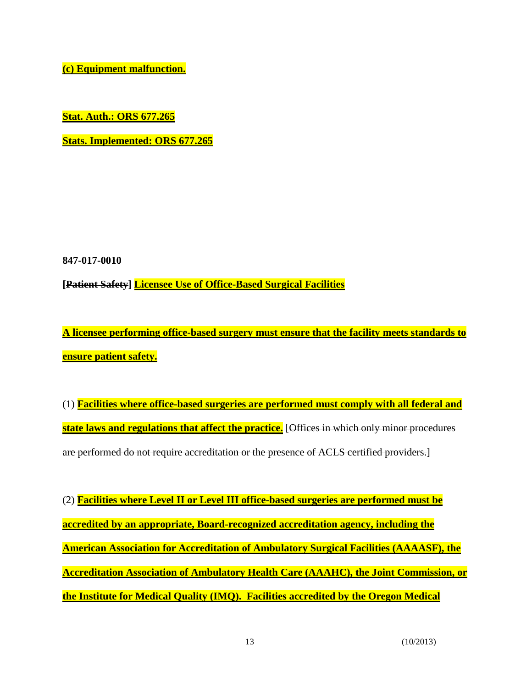**(c) Equipment malfunction.**

**Stat. Auth.: ORS 677.265**

**Stats. Implemented: ORS 677.265**

**847-017-0010**

**[Patient Safety] Licensee Use of Office-Based Surgical Facilities**

**A licensee performing office-based surgery must ensure that the facility meets standards to ensure patient safety.**

(1) **Facilities where office-based surgeries are performed must comply with all federal and state laws and regulations that affect the practice.** [Offices in which only minor procedures are performed do not require accreditation or the presence of ACLS certified providers.]

(2) **Facilities where Level II or Level III office-based surgeries are performed must be accredited by an appropriate, Board-recognized accreditation agency, including the American Association for Accreditation of Ambulatory Surgical Facilities (AAAASF), the Accreditation Association of Ambulatory Health Care (AAAHC), the Joint Commission, or the Institute for Medical Quality (IMQ). Facilities accredited by the Oregon Medical**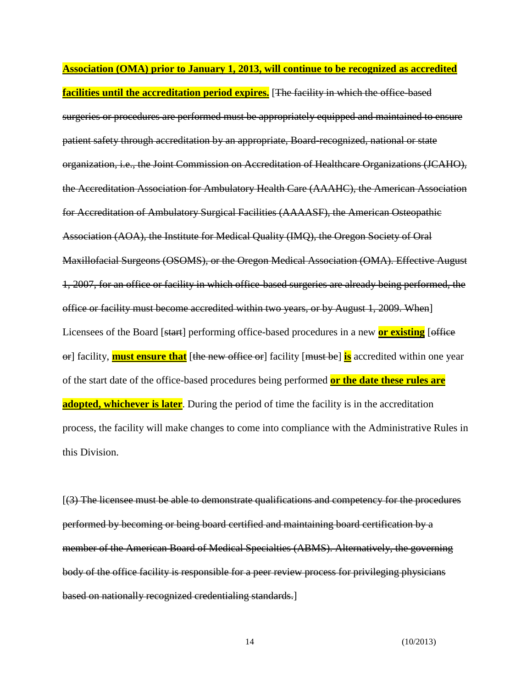**Association (OMA) prior to January 1, 2013, will continue to be recognized as accredited facilities until the accreditation period expires.** [The facility in which the office-based surgeries or procedures are performed must be appropriately equipped and maintained to ensure patient safety through accreditation by an appropriate, Board**-**recognized, national or state organization, i.e., the Joint Commission on Accreditation of Healthcare Organizations (JCAHO), the Accreditation Association for Ambulatory Health Care (AAAHC), the American Association for Accreditation of Ambulatory Surgical Facilities (AAAASF), the American Osteopathic Association (AOA), the Institute for Medical Quality (IMQ), the Oregon Society of Oral Maxillofacial Surgeons (OSOMS), or the Oregon Medical Association (OMA). Effective August 1, 2007, for an office or facility in which office-based surgeries are already being performed, the office or facility must become accredited within two years, or by August 1, 2009. When] Licensees of the Board [start] performing office-based procedures in a new **or existing** [effice or] facility, **must ensure that** [the new office or] facility [must be] **is** accredited within one year of the start date of the office-based procedures being performed **or the date these rules are adopted, whichever is later**. During the period of time the facility is in the accreditation process, the facility will make changes to come into compliance with the Administrative Rules in this Division.

[(3) The licensee must be able to demonstrate qualifications and competency for the procedures performed by becoming or being board certified and maintaining board certification by a member of the American Board of Medical Specialties (ABMS). Alternatively, the governing body of the office facility is responsible for a peer review process for privileging physicians based on nationally recognized credentialing standards.]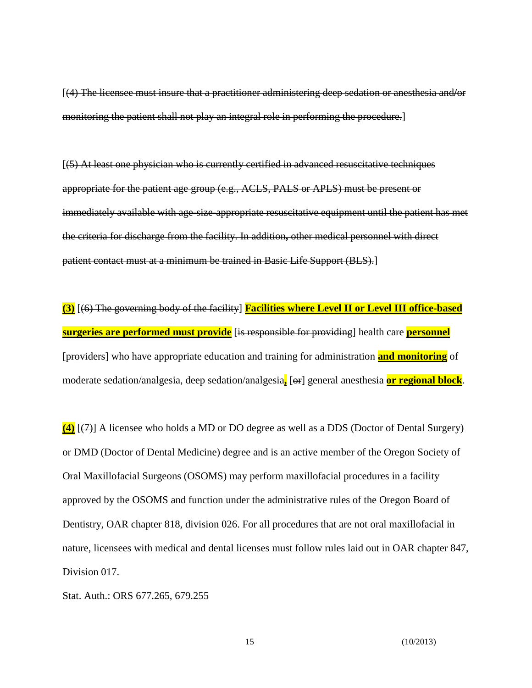[(4) The licensee must insure that a practitioner administering deep sedation or anesthesia and**/**or monitoring the patient shall not play an integral role in performing the procedure.]

[(5) At least one physician who is currently certified in advanced resuscitative techniques appropriate for the patient age group (e.g., ACLS, PALS or APLS) must be present or immediately available with age-size-appropriate resuscitative equipment until the patient has met the criteria for discharge from the facility. In addition**,** other medical personnel with direct patient contact must at a minimum be trained in Basic Life Support (BLS).]

**(3)** [(6) The governing body of the facility] **Facilities where Level II or Level III office-based surgeries are performed must provide** [is responsible for providing] health care **personnel** [providers] who have appropriate education and training for administration **and monitoring** of moderate sedation/analgesia, deep sedation/analgesia**,** [or] general anesthesia **or regional block**.

**(4)** [(7)] A licensee who holds a MD or DO degree as well as a DDS (Doctor of Dental Surgery) or DMD (Doctor of Dental Medicine) degree and is an active member of the Oregon Society of Oral Maxillofacial Surgeons (OSOMS) may perform maxillofacial procedures in a facility approved by the OSOMS and function under the administrative rules of the Oregon Board of Dentistry, OAR chapter 818, division 026. For all procedures that are not oral maxillofacial in nature, licensees with medical and dental licenses must follow rules laid out in OAR chapter 847, Division 017.

Stat. Auth.: ORS 677.265, 679.255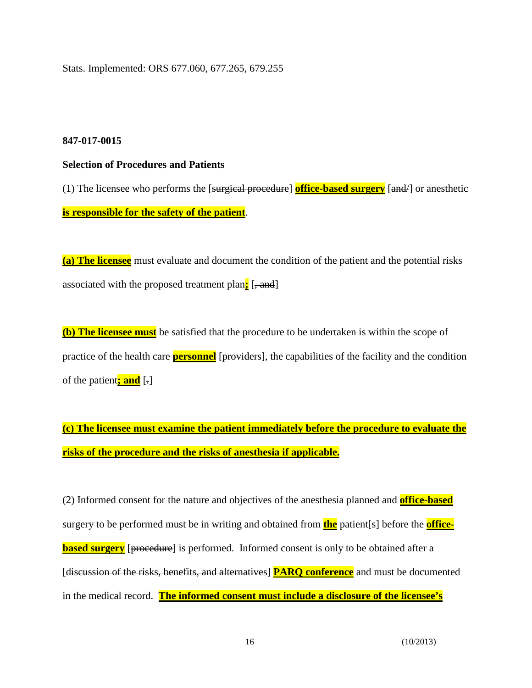Stats. Implemented: ORS 677.060, 677.265, 679.255

### **847-017-0015**

#### **Selection of Procedures and Patients**

(1) The licensee who performs the [surgical procedure] **office-based surgery** [and/] or anesthetic **is responsible for the safety of the patient**.

**(a) The licensee** must evaluate and document the condition of the patient and the potential risks associated with the proposed treatment plan<sub>i</sub> [, and]

**(b) The licensee must** be satisfied that the procedure to be undertaken is within the scope of practice of the health care **personnel** [providers], the capabilities of the facility and the condition of the patient**; and** [.]

**(c) The licensee must examine the patient immediately before the procedure to evaluate the risks of the procedure and the risks of anesthesia if applicable.**

(2) Informed consent for the nature and objectives of the anesthesia planned and **office-based** surgery to be performed must be in writing and obtained from **the** patient[s] before the **officebased surgery** [proceedure] is performed. Informed consent is only to be obtained after a [discussion of the risks, benefits, and alternatives] **PARQ conference** and must be documented in the medical record. **The informed consent must include a disclosure of the licensee's**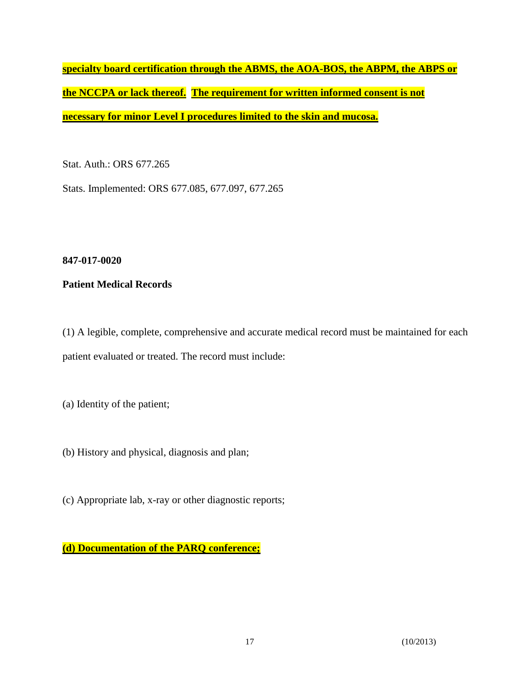**specialty board certification through the ABMS, the AOA-BOS, the ABPM, the ABPS or the NCCPA or lack thereof. The requirement for written informed consent is not necessary for minor Level I procedures limited to the skin and mucosa.**

Stat. Auth.: ORS 677.265

Stats. Implemented: ORS 677.085, 677.097, 677.265

**847-017-0020**

**Patient Medical Records**

(1) A legible, complete, comprehensive and accurate medical record must be maintained for each patient evaluated or treated. The record must include:

(a) Identity of the patient;

(b) History and physical, diagnosis and plan;

(c) Appropriate lab, x-ray or other diagnostic reports;

**(d) Documentation of the PARQ conference;**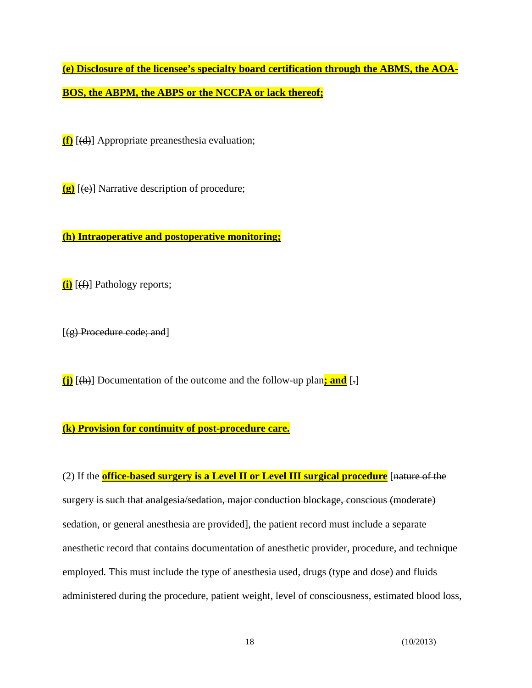**(e) Disclosure of the licensee's specialty board certification through the ABMS, the AOA-BOS, the ABPM, the ABPS or the NCCPA or lack thereof;**

**(f)** [(d)] Appropriate preanesthesia evaluation;

**(g)** [(e)] Narrative description of procedure;

**(h) Intraoperative and postoperative monitoring;**

**(i)** [(f)] Pathology reports;

 $[(g)$  Procedure code; and

**(j)** [(h)] Documentation of the outcome and the follow-up plan**; and** [.]

### **(k) Provision for continuity of post-procedure care.**

(2) If the **office-based surgery is a Level II or Level III surgical procedure** [nature of the surgery is such that analgesia/sedation, major conduction blockage, conscious (moderate) sedation, or general anesthesia are provided], the patient record must include a separate anesthetic record that contains documentation of anesthetic provider, procedure, and technique employed. This must include the type of anesthesia used, drugs (type and dose) and fluids administered during the procedure, patient weight, level of consciousness, estimated blood loss,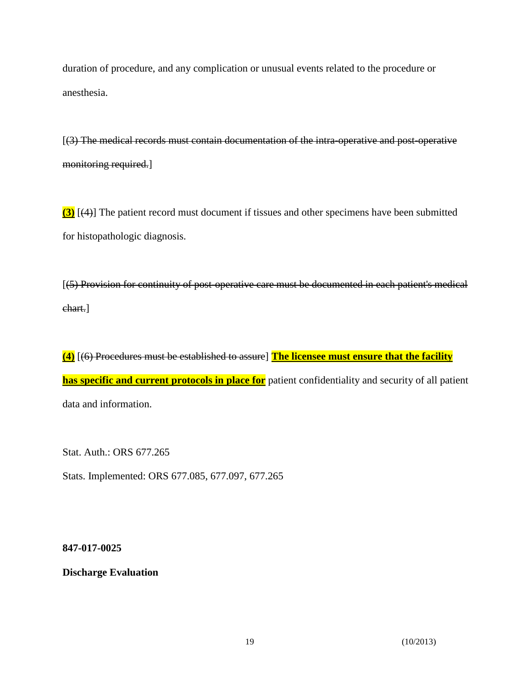duration of procedure, and any complication or unusual events related to the procedure or anesthesia.

[(3) The medical records must contain documentation of the intra**-**operative and post**-**operative monitoring required.]

**(3)** [(4)] The patient record must document if tissues and other specimens have been submitted for histopathologic diagnosis.

[(5) Provision for continuity of post-operative care must be documented in each patient's medical chart.]

**(4)** [(6) Procedures must be established to assure] **The licensee must ensure that the facility has specific and current protocols in place for** patient confidentiality and security of all patient data and information.

Stat. Auth.: ORS 677.265

Stats. Implemented: ORS 677.085, 677.097, 677.265

**847-017-0025**

**Discharge Evaluation**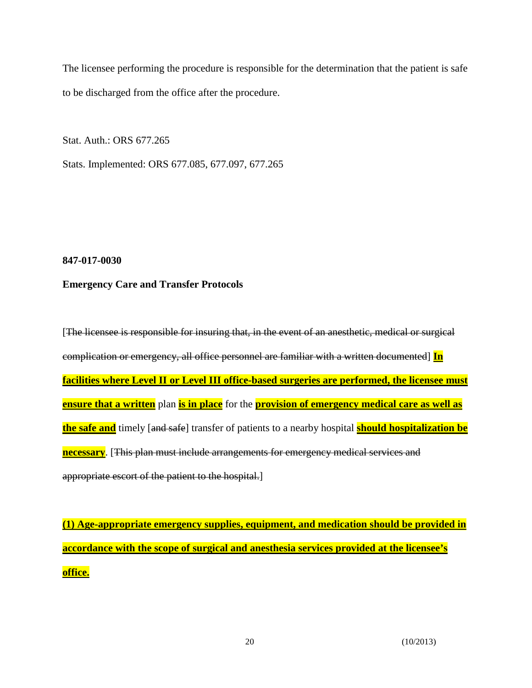The licensee performing the procedure is responsible for the determination that the patient is safe to be discharged from the office after the procedure.

Stat. Auth.: ORS 677.265

Stats. Implemented: ORS 677.085, 677.097, 677.265

**847-017-0030**

### **Emergency Care and Transfer Protocols**

[The licensee is responsible for insuring that, in the event of an anesthetic, medical or surgical complication or emergency, all office personnel are familiar with a written documented] **In facilities where Level II or Level III office-based surgeries are performed, the licensee must ensure that a written** plan **is in place** for the **provision of emergency medical care as well as the safe and** timely [and safe] transfer of patients to a nearby hospital **should hospitalization be necessary**. [This plan must include arrangements for emergency medical services and appropriate escort of the patient to the hospital.]

**(1) Age-appropriate emergency supplies, equipment, and medication should be provided in accordance with the scope of surgical and anesthesia services provided at the licensee's office.**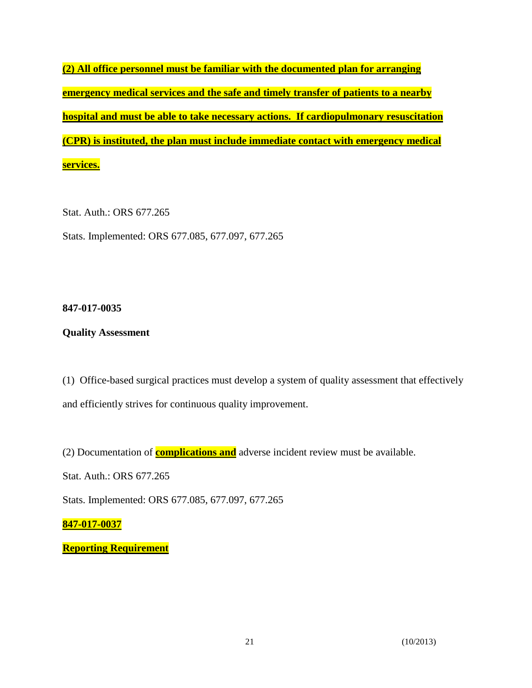**(2) All office personnel must be familiar with the documented plan for arranging emergency medical services and the safe and timely transfer of patients to a nearby hospital and must be able to take necessary actions. If cardiopulmonary resuscitation (CPR) is instituted, the plan must include immediate contact with emergency medical services.**

Stat. Auth.: ORS 677.265 Stats. Implemented: ORS 677.085, 677.097, 677.265

### **847-017-0035**

# **Quality Assessment**

(1) Office-based surgical practices must develop a system of quality assessment that effectively and efficiently strives for continuous quality improvement.

(2) Documentation of **complications and** adverse incident review must be available.

Stat. Auth.: ORS 677.265

Stats. Implemented: ORS 677.085, 677.097, 677.265

# **847-017-0037**

**Reporting Requirement**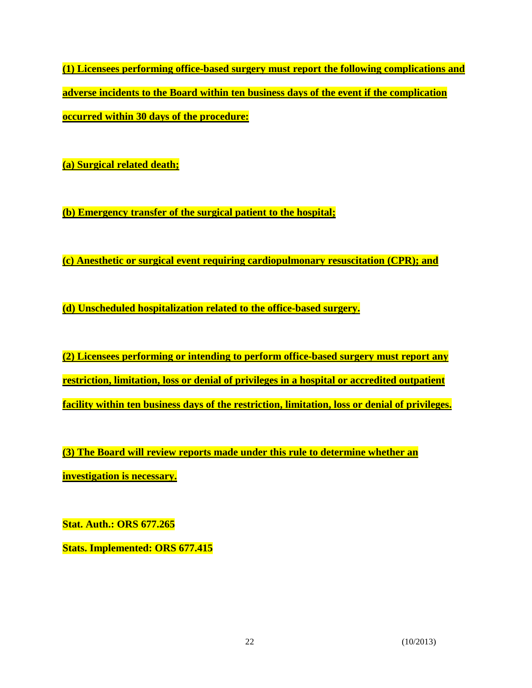**(1) Licensees performing office-based surgery must report the following complications and adverse incidents to the Board within ten business days of the event if the complication occurred within 30 days of the procedure:**

**(a) Surgical related death;**

**(b) Emergency transfer of the surgical patient to the hospital;**

**(c) Anesthetic or surgical event requiring cardiopulmonary resuscitation (CPR); and**

**(d) Unscheduled hospitalization related to the office-based surgery.**

**(2) Licensees performing or intending to perform office-based surgery must report any restriction, limitation, loss or denial of privileges in a hospital or accredited outpatient facility within ten business days of the restriction, limitation, loss or denial of privileges.**

**(3) The Board will review reports made under this rule to determine whether an investigation is necessary.**

**Stat. Auth.: ORS 677.265** 

**Stats. Implemented: ORS 677.415**